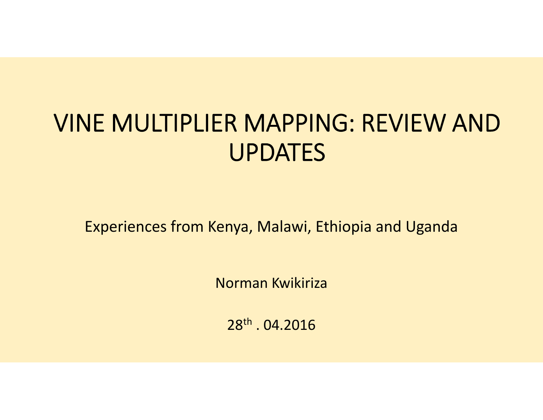# **VINE MULTIPLIER MAPPING: REVIEW AND UPDATES**

Experiences from Kenya, Malawi, Ethiopia and Uganda

Norman Kwikiriza

28th . 04.2016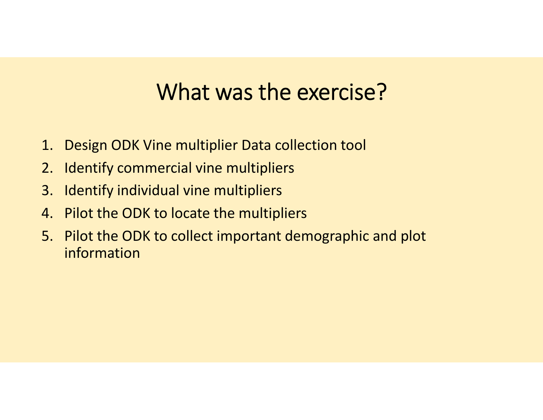## **What was the exercise?**

- 1. Design ODK Vine multiplier Data collection tool
- 2. Identify commercial vine multipliers
- 3. Identify individual vine multipliers
- 4. Pilot the ODK to locate the multipliers
- 5. Pilot the ODK to collect important demographic and plot information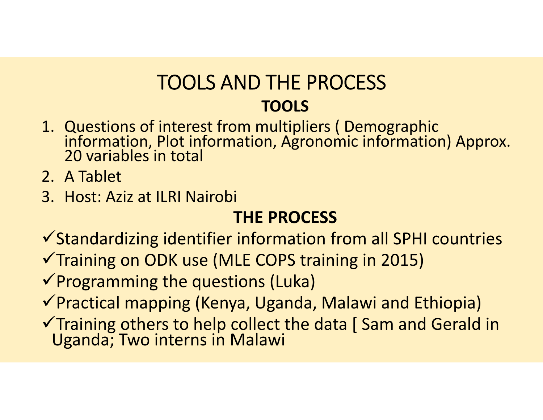#### **TOOLS AND THE PROCESS TOOLS**

- 1. Questions of interest from multipliers ( Demographic information, Plot information, Agronomic information) Approx. 20 variables in total
- 2. A Tablet
- 3. Host: Aziz at ILRI Nairobi

#### **THE PROCESS**

 $\checkmark$  Standardizing identifier information from all SPHI countries  $\checkmark$  Training on ODK use (MLE COPS training in 2015)

 $\checkmark$  Programming the questions (Luka)

Practical mapping (Kenya, Uganda, Malawi and Ethiopia)

Training others to help collect the data [ Sam and Gerald in Uganda; Two interns in Malawi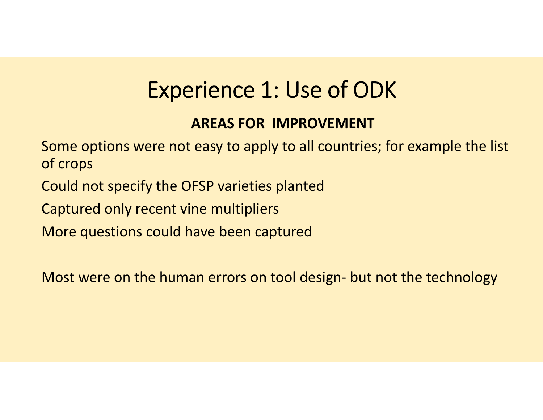## **Experience 1: Use of ODK**

#### **AREAS FOR IMPROVEMENT**

Some options were not easy to apply to all countries; for example the list of crops

Could not specify the OFSP varieties planted

Captured only recent vine multipliers

More questions could have been captured

Most were on the human errors on tool design- but not the technology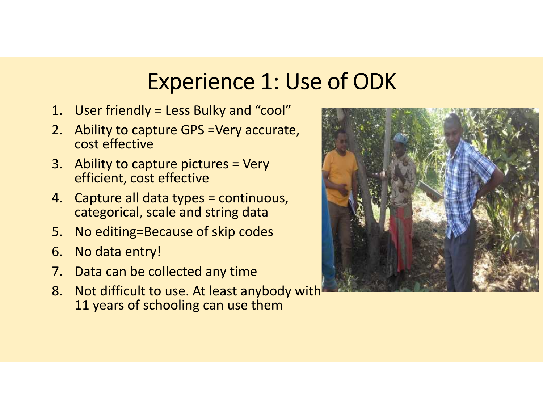#### **Experience 1: Use of ODK**

- 1. User friendly = Less Bulky and "cool"
- 2. Ability to capture GPS =Very accurate, cost effective
- 3. Ability to capture pictures = Very efficient, cost effective
- 4. Capture all data types = continuous, categorical, scale and string data
- 5. No editing=Because of skip codes
- 6. No data entry!
- 7. Data can be collected any time
- 8. Not difficult to use. At least anybody with 11 years of schooling can use them

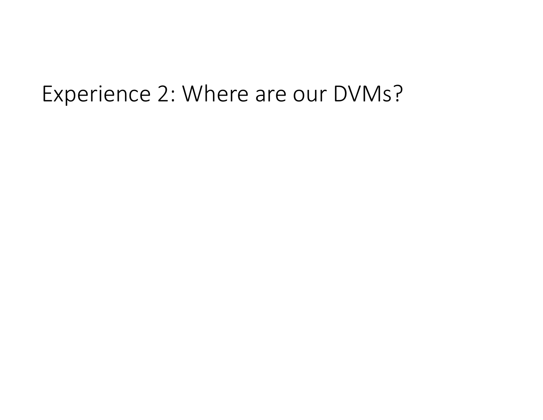#### Experience 2: Where are our DVMs?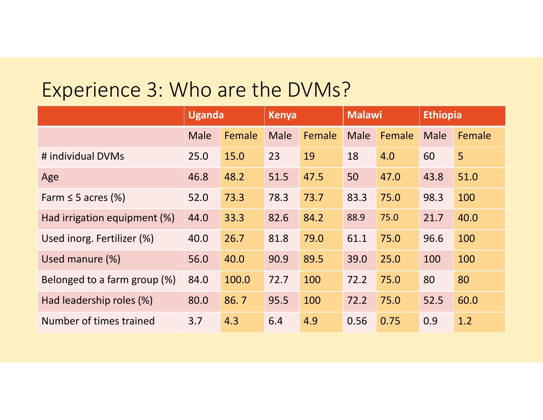#### Experience 3: Who are the DVMs?

|                              | <b>Uganda</b> |        | <b>Kenya</b> |        | <b>Malawi</b> |        | <b>Ethiopia</b> |        |
|------------------------------|---------------|--------|--------------|--------|---------------|--------|-----------------|--------|
|                              | Male          | Female | <b>Male</b>  | Female | Male          | Female | <b>Male</b>     | Female |
| # individual DVMs            | 25.0          | 15.0   | 23           | 19     | 18            | 4.0    | 60              | 5      |
| Age                          | 46.8          | 48.2   | 51.5         | 47.5   | 50            | 47.0   | 43.8            | 51.0   |
| Farm $\leq$ 5 acres (%)      | 52.0          | 73.3   | 78.3         | 73.7   | 83.3          | 75.0   | 98.3            | 100    |
| Had irrigation equipment (%) | 44.0          | 33.3   | 82.6         | 84.2   | 88.9          | 75.0   | 21.7            | 40.0   |
| Used inorg. Fertilizer (%)   | 40.0          | 26.7   | 81.8         | 79.0   | 61.1          | 75.0   | 96.6            | 100    |
| Used manure (%)              | 56.0          | 40.0   | 90.9         | 89.5   | 39.0          | 25.0   | 100             | 100    |
| Belonged to a farm group (%) | 84.0          | 100.0  | 72.7         | 100    | 72.2          | 75.0   | 80              | 80     |
| Had leadership roles (%)     | 80.0          | 86.7   | 95.5         | 100    | 72.2          | 75.0   | 52.5            | 60.0   |
| Number of times trained      | 3.7           | 4.3    | 6.4          | 4.9    | 0.56          | 0.75   | 0.9             | 1.2    |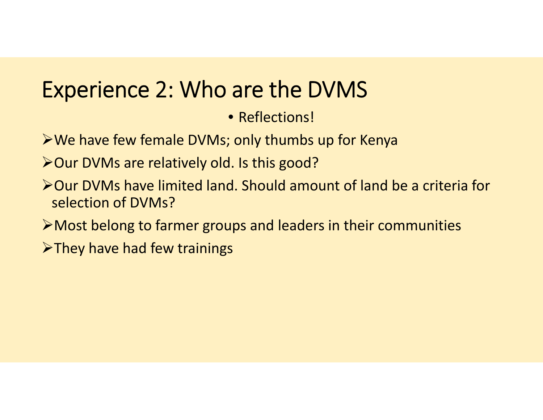## **Experience 2: Who are the DVMS**

• Reflections!

- We have few female DVMs; only thumbs up for Kenya
- > Our DVMs are relatively old. Is this good?
- Our DVMs have limited land. Should amount of land be a criteria for selection of DVMs?
- Most belong to farmer groups and leaders in their communities
- $\triangleright$  They have had few trainings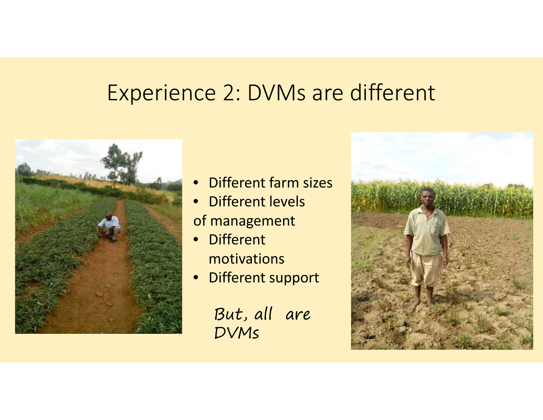#### Experience 2: DVMs are different



- Different farm sizes
- Different levels of management
- Different motivations
- Different support

But, all are DVMs

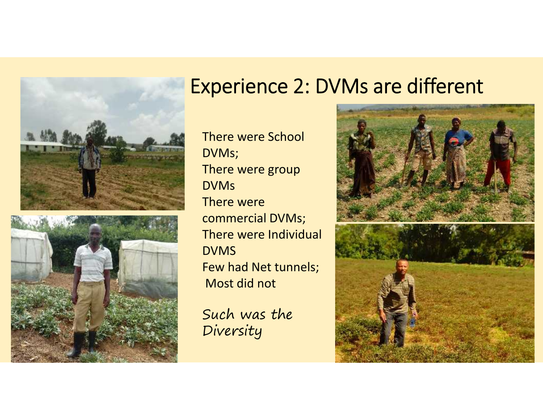

#### **Experience 2: DVMs are different**

There were School DVMs; There were group DVMs There were commercial DVMs; There were Individual DVMS Few had Net tunnels; Most did not

Such was the Diversity

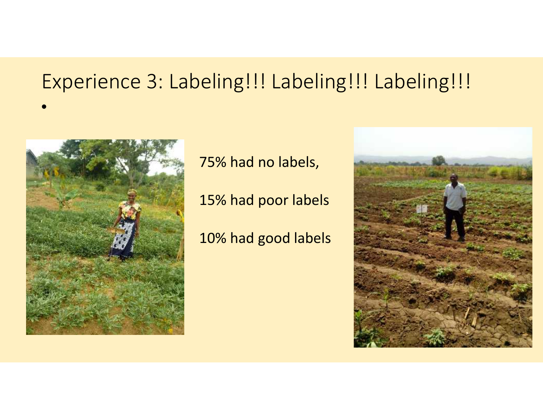#### Experience 3: Labeling!!! Labeling!!! Labeling!!!



•

75% had no labels,

15% had poor labels

10% had good labels

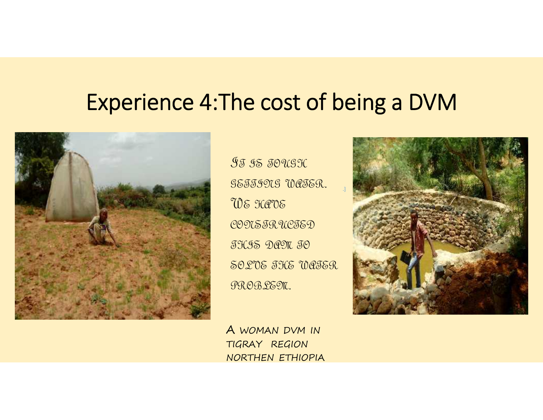#### **Experience 4:The cost of being a DVM**



IT IS TOUGH SETTING WATER. WE HAVE CONSTRUCTED THIS DAM TO SOLVE THE WATER PROBLEM.

A WOMAN DVM IN TIGRAY REGION NORTHEN ETHIOPIA

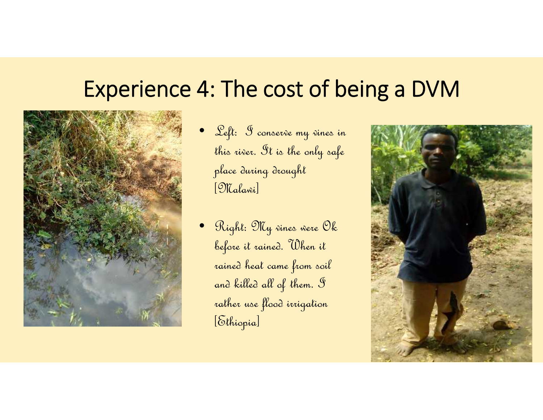#### **Experience 4: The cost of being a DVM**



- Left: I conserve my vines in this river. It is the only safe place during drought [Malawi]
- Right: My vines were Ok before it rained. When it rained heat came from soil and killed all of them. I rather use flood irrigation [Ethiopia]

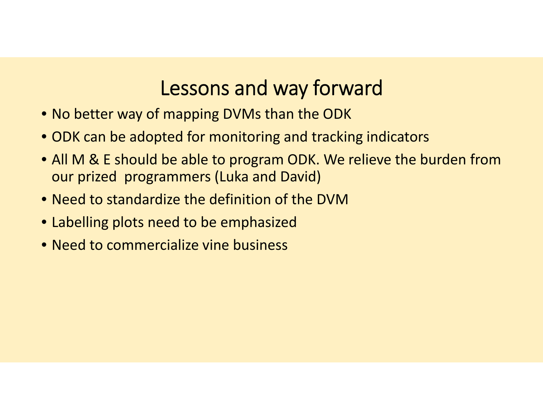#### **Lessons and way forward**

- No better way of mapping DVMs than the ODK
- ODK can be adopted for monitoring and tracking indicators
- All M & E should be able to program ODK. We relieve the burden from our prized programmers (Luka and David)
- Need to standardize the definition of the DVM
- Labelling plots need to be emphasized
- Need to commercialize vine business